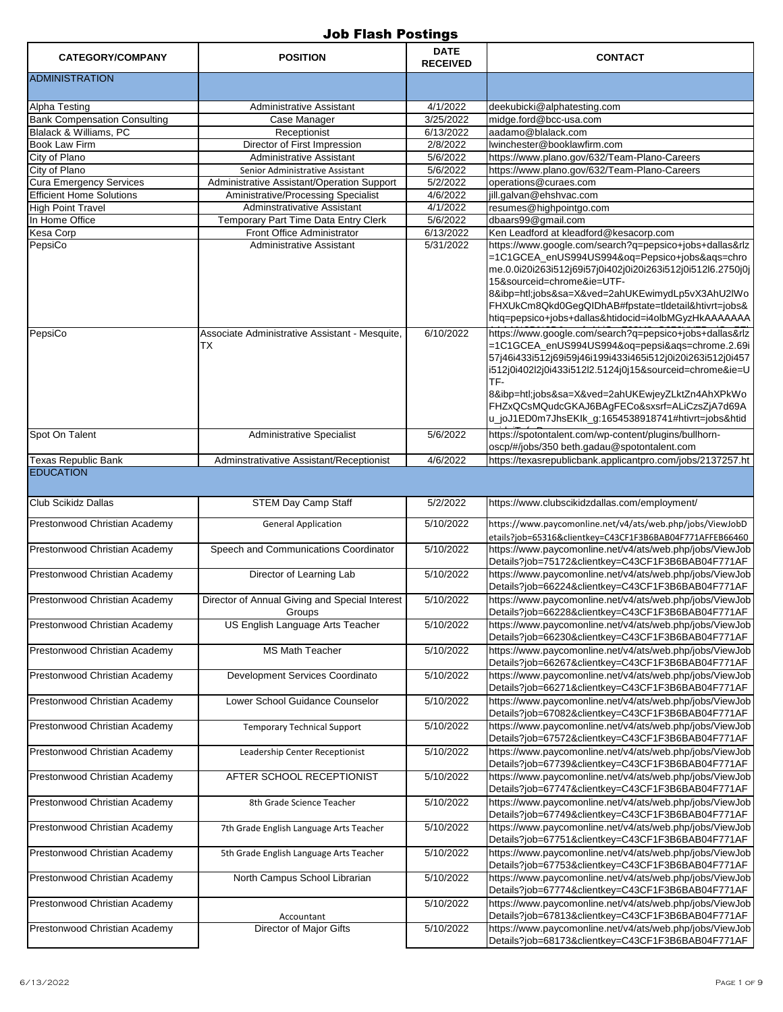| <b>CATEGORY/COMPANY</b>             | <b>POSITION</b>                                          | <b>DATE</b><br><b>RECEIVED</b> | <b>CONTACT</b>                                                                                                                                                                                                                                                                                                                                                                                        |
|-------------------------------------|----------------------------------------------------------|--------------------------------|-------------------------------------------------------------------------------------------------------------------------------------------------------------------------------------------------------------------------------------------------------------------------------------------------------------------------------------------------------------------------------------------------------|
| <b>ADMINISTRATION</b>               |                                                          |                                |                                                                                                                                                                                                                                                                                                                                                                                                       |
| Alpha Testing                       | Administrative Assistant                                 | 4/1/2022                       | deekubicki@alphatesting.com                                                                                                                                                                                                                                                                                                                                                                           |
| <b>Bank Compensation Consulting</b> | Case Manager                                             | 3/25/2022                      | midge.ford@bcc-usa.com                                                                                                                                                                                                                                                                                                                                                                                |
| <b>Blalack &amp; Williams, PC</b>   | Receptionist                                             | 6/13/2022                      | aadamo@blalack.com                                                                                                                                                                                                                                                                                                                                                                                    |
| Book Law Firm                       | Director of First Impression                             | 2/8/2022                       | lwinchester@booklawfirm.com                                                                                                                                                                                                                                                                                                                                                                           |
| City of Plano                       | Administrative Assistant                                 | 5/6/2022                       | https://www.plano.gov/632/Team-Plano-Careers                                                                                                                                                                                                                                                                                                                                                          |
| City of Plano                       | Senior Administrative Assistant                          | 5/6/2022                       | https://www.plano.gov/632/Team-Plano-Careers                                                                                                                                                                                                                                                                                                                                                          |
| <b>Cura Emergency Services</b>      | Administrative Assistant/Operation Support               | 5/2/2022                       | operations@curaes.com                                                                                                                                                                                                                                                                                                                                                                                 |
| <b>Efficient Home Solutions</b>     | Aministrative/Processing Specialist                      | 4/6/2022                       | jill.galvan@ehshvac.com                                                                                                                                                                                                                                                                                                                                                                               |
| <b>High Point Travel</b>            | Adminstrativative Assistant                              | 4/1/2022                       | resumes@highpointgo.com                                                                                                                                                                                                                                                                                                                                                                               |
| In Home Office                      | Temporary Part Time Data Entry Clerk                     | 5/6/2022                       | dbaars99@gmail.com                                                                                                                                                                                                                                                                                                                                                                                    |
| Kesa Corp                           | Front Office Administrator                               | 6/13/2022                      | Ken Leadford at kleadford@kesacorp.com                                                                                                                                                                                                                                                                                                                                                                |
| PepsiCo                             | Administrative Assistant                                 | 5/31/2022                      | https://www.google.com/search?q=pepsico+jobs+dallas&rlz<br>=1C1GCEA_enUS994US994&oq=Pepsico+jobs&aqs=chro<br>me.0.0i20i263i512j69i57j0i402j0i20i263i512j0i512l6.2750j0j<br>15&sourceid=chrome&ie=UTF-<br>8&ibp=htl;jobs&sa=X&ved=2ahUKEwimydLp5vX3AhU2lWo<br>FHXUkCm8Qkd0GegQIDhAB#fpstate=tldetail&htivrt=jobs&<br>htig=pepsico+jobs+dallas&htidocid=i4olbMGyzHkAAAAAAA                              |
| PepsiCo                             | Associate Administrative Assistant - Mesquite,<br>ТX     | 6/10/2022                      | https://www.google.com/search?g=pepsico+jobs+dallas&rlz<br>=1C1GCEA_enUS994US994&oq=pepsi&aqs=chrome.2.69i<br>57j46i433i512j69i59j46i199i433i465i512j0i20i263i512j0i457<br>i512j0i402l2j0i433i512l2.5124j0j15&sourceid=chrome&ie=U<br>TF-<br>8&ibp=htl;jobs&sa=X&ved=2ahUKEwjeyZLktZn4AhXPkWo<br>FHZxQCsMQudcGKAJ6BAgFECo&sxsrf=ALiCzsZjA7d69A<br>u_joJ1ED0m7JhsEKIk_g:1654538918741#htivrt=jobs&htid |
| Spot On Talent                      | Administrative Specialist                                | 5/6/2022                       | https://spotontalent.com/wp-content/plugins/bullhorn-<br>oscp/#/jobs/350 beth.gadau@spotontalent.com                                                                                                                                                                                                                                                                                                  |
| <b>Texas Republic Bank</b>          | Adminstrativative Assistant/Receptionist                 | 4/6/2022                       | https://texasrepublicbank.applicantpro.com/jobs/2137257.ht                                                                                                                                                                                                                                                                                                                                            |
| <b>EDUCATION</b>                    |                                                          |                                |                                                                                                                                                                                                                                                                                                                                                                                                       |
| <b>Club Scikidz Dallas</b>          | <b>STEM Day Camp Staff</b>                               | 5/2/2022                       | https://www.clubscikidzdallas.com/employment/                                                                                                                                                                                                                                                                                                                                                         |
| Prestonwood Christian Academy       | <b>General Application</b>                               | 5/10/2022                      | https://www.paycomonline.net/v4/ats/web.php/jobs/ViewJobD<br>etails?job=65316&clientkey=C43CF1F3B6BAB04F771AFFEB66460                                                                                                                                                                                                                                                                                 |
| Prestonwood Christian Academy       | Speech and Communications Coordinator                    | 5/10/2022                      | https://www.paycomonline.net/v4/ats/web.php/jobs/ViewJob<br>Details?job=75172&clientkey=C43CF1F3B6BAB04F771AF                                                                                                                                                                                                                                                                                         |
| Prestonwood Christian Academy       | Director of Learning Lab                                 | 5/10/2022                      | https://www.paycomonline.net/v4/ats/web.php/jobs/ViewJob<br>Details?job=66224&clientkey=C43CF1F3B6BAB04F771AF                                                                                                                                                                                                                                                                                         |
| Prestonwood Christian Academy       | Director of Annual Giving and Special Interest<br>Groups | 5/10/2022                      | https://www.paycomonline.net/v4/ats/web.php/jobs/ViewJob<br>Details?job=66228&clientkey=C43CF1F3B6BAB04F771AF                                                                                                                                                                                                                                                                                         |
| Prestonwood Christian Academy       | US English Language Arts Teacher                         | 5/10/2022                      | https://www.paycomonline.net/v4/ats/web.php/jobs/ViewJob<br>Details?job=66230&clientkey=C43CF1F3B6BAB04F771AF                                                                                                                                                                                                                                                                                         |
| Prestonwood Christian Academy       | MS Math Teacher                                          | 5/10/2022                      | https://www.paycomonline.net/v4/ats/web.php/jobs/ViewJob<br>Details?job=66267&clientkey=C43CF1F3B6BAB04F771AF                                                                                                                                                                                                                                                                                         |
| Prestonwood Christian Academy       | Development Services Coordinato                          | 5/10/2022                      | https://www.paycomonline.net/v4/ats/web.php/jobs/ViewJob<br>Details?job=66271&clientkey=C43CF1F3B6BAB04F771AF                                                                                                                                                                                                                                                                                         |
| Prestonwood Christian Academy       | Lower School Guidance Counselor                          | 5/10/2022                      | https://www.paycomonline.net/v4/ats/web.php/jobs/ViewJob<br>Details?job=67082&clientkey=C43CF1F3B6BAB04F771AF                                                                                                                                                                                                                                                                                         |
| Prestonwood Christian Academy       | <b>Temporary Technical Support</b>                       | 5/10/2022                      | https://www.paycomonline.net/v4/ats/web.php/jobs/ViewJob<br>Details?job=67572&clientkey=C43CF1F3B6BAB04F771AF                                                                                                                                                                                                                                                                                         |
| Prestonwood Christian Academy       | Leadership Center Receptionist                           | 5/10/2022                      | https://www.paycomonline.net/v4/ats/web.php/jobs/ViewJob<br>Details?job=67739&clientkey=C43CF1F3B6BAB04F771AF                                                                                                                                                                                                                                                                                         |
| Prestonwood Christian Academy       | AFTER SCHOOL RECEPTIONIST                                | 5/10/2022                      | https://www.paycomonline.net/v4/ats/web.php/jobs/ViewJob<br>Details?job=67747&clientkey=C43CF1F3B6BAB04F771AF                                                                                                                                                                                                                                                                                         |
| Prestonwood Christian Academy       | 8th Grade Science Teacher                                | 5/10/2022                      | https://www.paycomonline.net/v4/ats/web.php/jobs/ViewJob<br>Details?job=67749&clientkey=C43CF1F3B6BAB04F771AF                                                                                                                                                                                                                                                                                         |
| Prestonwood Christian Academy       | 7th Grade English Language Arts Teacher                  | 5/10/2022                      | https://www.paycomonline.net/v4/ats/web.php/jobs/ViewJob<br>Details?job=67751&clientkey=C43CF1F3B6BAB04F771AF                                                                                                                                                                                                                                                                                         |
| Prestonwood Christian Academy       | 5th Grade English Language Arts Teacher                  | 5/10/2022                      | https://www.paycomonline.net/v4/ats/web.php/jobs/ViewJob<br>Details?job=67753&clientkey=C43CF1F3B6BAB04F771AF                                                                                                                                                                                                                                                                                         |
| Prestonwood Christian Academy       | North Campus School Librarian                            | 5/10/2022                      | https://www.paycomonline.net/v4/ats/web.php/jobs/ViewJob<br>Details?job=67774&clientkey=C43CF1F3B6BAB04F771AF                                                                                                                                                                                                                                                                                         |
| Prestonwood Christian Academy       | Accountant                                               | 5/10/2022                      | https://www.paycomonline.net/v4/ats/web.php/jobs/ViewJob<br>Details?job=67813&clientkey=C43CF1F3B6BAB04F771AF                                                                                                                                                                                                                                                                                         |
| Prestonwood Christian Academy       | Director of Major Gifts                                  | 5/10/2022                      | https://www.paycomonline.net/v4/ats/web.php/jobs/ViewJob<br>Details?job=68173&clientkey=C43CF1F3B6BAB04F771AF                                                                                                                                                                                                                                                                                         |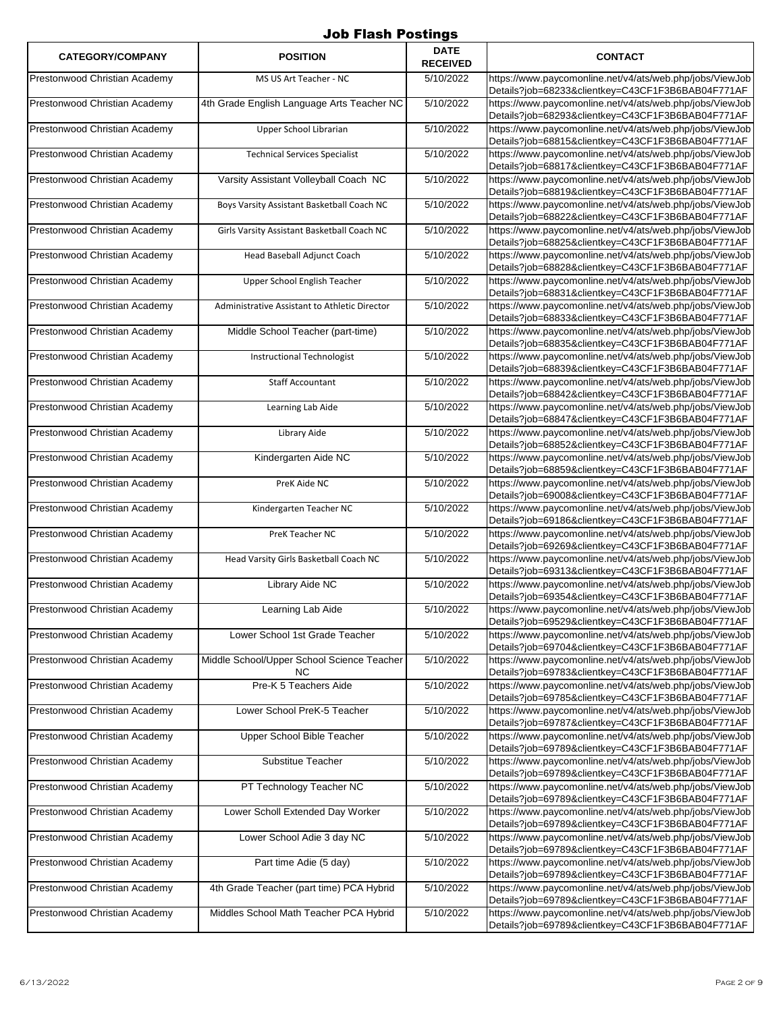| <b>CATEGORY/COMPANY</b>       | <b>POSITION</b>                                   | <b>DATE</b><br><b>RECEIVED</b> | <b>CONTACT</b>                                                                                                |
|-------------------------------|---------------------------------------------------|--------------------------------|---------------------------------------------------------------------------------------------------------------|
| Prestonwood Christian Academy | MS US Art Teacher - NC                            | 5/10/2022                      | https://www.paycomonline.net/v4/ats/web.php/jobs/ViewJob<br>Details?job=68233&clientkey=C43CF1F3B6BAB04F771AF |
| Prestonwood Christian Academy | 4th Grade English Language Arts Teacher NC        | 5/10/2022                      | https://www.paycomonline.net/v4/ats/web.php/jobs/ViewJob<br>Details?job=68293&clientkey=C43CF1F3B6BAB04F771AF |
| Prestonwood Christian Academy | Upper School Librarian                            | 5/10/2022                      | https://www.paycomonline.net/v4/ats/web.php/jobs/ViewJob<br>Details?job=68815&clientkey=C43CF1F3B6BAB04F771AF |
| Prestonwood Christian Academy | <b>Technical Services Specialist</b>              | 5/10/2022                      | https://www.paycomonline.net/v4/ats/web.php/jobs/ViewJob<br>Details?job=68817&clientkey=C43CF1F3B6BAB04F771AF |
| Prestonwood Christian Academy | Varsity Assistant Volleyball Coach NC             | 5/10/2022                      | https://www.paycomonline.net/v4/ats/web.php/jobs/ViewJob<br>Details?job=68819&clientkey=C43CF1F3B6BAB04F771AF |
| Prestonwood Christian Academy | Boys Varsity Assistant Basketball Coach NC        | 5/10/2022                      | https://www.paycomonline.net/v4/ats/web.php/jobs/ViewJob<br>Details?job=68822&clientkey=C43CF1F3B6BAB04F771AF |
| Prestonwood Christian Academy | Girls Varsity Assistant Basketball Coach NC       | 5/10/2022                      | https://www.paycomonline.net/v4/ats/web.php/jobs/ViewJob<br>Details?job=68825&clientkey=C43CF1F3B6BAB04F771AF |
| Prestonwood Christian Academy | Head Baseball Adjunct Coach                       | 5/10/2022                      | https://www.paycomonline.net/v4/ats/web.php/jobs/ViewJob<br>Details?job=68828&clientkey=C43CF1F3B6BAB04F771AF |
| Prestonwood Christian Academy | Upper School English Teacher                      | 5/10/2022                      | https://www.paycomonline.net/v4/ats/web.php/jobs/ViewJob<br>Details?job=68831&clientkey=C43CF1F3B6BAB04F771AF |
| Prestonwood Christian Academy | Administrative Assistant to Athletic Director     | 5/10/2022                      | https://www.paycomonline.net/v4/ats/web.php/jobs/ViewJob<br>Details?job=68833&clientkey=C43CF1F3B6BAB04F771AF |
| Prestonwood Christian Academy | Middle School Teacher (part-time)                 | 5/10/2022                      | https://www.paycomonline.net/v4/ats/web.php/jobs/ViewJob<br>Details?job=68835&clientkey=C43CF1F3B6BAB04F771AF |
| Prestonwood Christian Academy | <b>Instructional Technologist</b>                 | 5/10/2022                      | https://www.paycomonline.net/v4/ats/web.php/jobs/ViewJob<br>Details?job=68839&clientkey=C43CF1F3B6BAB04F771AF |
| Prestonwood Christian Academy | <b>Staff Accountant</b>                           | 5/10/2022                      | https://www.paycomonline.net/v4/ats/web.php/jobs/ViewJob<br>Details?job=68842&clientkey=C43CF1F3B6BAB04F771AF |
| Prestonwood Christian Academy | Learning Lab Aide                                 | 5/10/2022                      | https://www.paycomonline.net/v4/ats/web.php/jobs/ViewJob<br>Details?job=68847&clientkey=C43CF1F3B6BAB04F771AF |
| Prestonwood Christian Academy | Library Aide                                      | 5/10/2022                      | https://www.paycomonline.net/v4/ats/web.php/jobs/ViewJob<br>Details?job=68852&clientkey=C43CF1F3B6BAB04F771AF |
| Prestonwood Christian Academy | Kindergarten Aide NC                              | 5/10/2022                      | https://www.paycomonline.net/v4/ats/web.php/jobs/ViewJob<br>Details?job=68859&clientkey=C43CF1F3B6BAB04F771AF |
| Prestonwood Christian Academy | PreK Aide NC                                      | 5/10/2022                      | https://www.paycomonline.net/v4/ats/web.php/jobs/ViewJob<br>Details?job=69008&clientkey=C43CF1F3B6BAB04F771AF |
| Prestonwood Christian Academy | Kindergarten Teacher NC                           | 5/10/2022                      | https://www.paycomonline.net/v4/ats/web.php/jobs/ViewJob<br>Details?job=69186&clientkey=C43CF1F3B6BAB04F771AF |
| Prestonwood Christian Academy | PreK Teacher NC                                   | 5/10/2022                      | https://www.paycomonline.net/v4/ats/web.php/jobs/ViewJob<br>Details?job=69269&clientkey=C43CF1F3B6BAB04F771AF |
| Prestonwood Christian Academy | Head Varsity Girls Basketball Coach NC            | 5/10/2022                      | https://www.paycomonline.net/v4/ats/web.php/jobs/ViewJob<br>Details?job=69313&clientkey=C43CF1F3B6BAB04F771AF |
| Prestonwood Christian Academy | Library Aide NC                                   | 5/10/2022                      | https://www.paycomonline.net/v4/ats/web.php/jobs/ViewJob<br>Details?job=69354&clientkey=C43CF1F3B6BAB04F771AF |
| Prestonwood Christian Academy | Learning Lab Aide                                 | 5/10/2022                      | https://www.paycomonline.net/v4/ats/web.php/jobs/ViewJob<br>Details?job=69529&clientkey=C43CF1F3B6BAB04F771AF |
| Prestonwood Christian Academy | Lower School 1st Grade Teacher                    | 5/10/2022                      | https://www.paycomonline.net/v4/ats/web.php/jobs/ViewJob<br>Details?job=69704&clientkey=C43CF1F3B6BAB04F771AF |
| Prestonwood Christian Academy | Middle School/Upper School Science Teacher<br>NC. | 5/10/2022                      | https://www.paycomonline.net/v4/ats/web.php/jobs/ViewJob<br>Details?job=69783&clientkey=C43CF1F3B6BAB04F771AF |
| Prestonwood Christian Academy | Pre-K 5 Teachers Aide                             | 5/10/2022                      | https://www.paycomonline.net/v4/ats/web.php/jobs/ViewJob<br>Details?job=69785&clientkey=C43CF1F3B6BAB04F771AF |
| Prestonwood Christian Academy | Lower School PreK-5 Teacher                       | 5/10/2022                      | https://www.paycomonline.net/v4/ats/web.php/jobs/ViewJob<br>Details?job=69787&clientkey=C43CF1F3B6BAB04F771AF |
| Prestonwood Christian Academy | Upper School Bible Teacher                        | 5/10/2022                      | https://www.paycomonline.net/v4/ats/web.php/jobs/ViewJob<br>Details?job=69789&clientkey=C43CF1F3B6BAB04F771AF |
| Prestonwood Christian Academy | <b>Substitue Teacher</b>                          | 5/10/2022                      | https://www.paycomonline.net/v4/ats/web.php/jobs/ViewJob<br>Details?job=69789&clientkey=C43CF1F3B6BAB04F771AF |
| Prestonwood Christian Academy | PT Technology Teacher NC                          | 5/10/2022                      | https://www.paycomonline.net/v4/ats/web.php/jobs/ViewJob<br>Details?job=69789&clientkey=C43CF1F3B6BAB04F771AF |
| Prestonwood Christian Academy | Lower Scholl Extended Day Worker                  | 5/10/2022                      | https://www.paycomonline.net/v4/ats/web.php/jobs/ViewJob<br>Details?job=69789&clientkey=C43CF1F3B6BAB04F771AF |
| Prestonwood Christian Academy | Lower School Adie 3 day NC                        | 5/10/2022                      | https://www.paycomonline.net/v4/ats/web.php/jobs/ViewJob<br>Details?job=69789&clientkey=C43CF1F3B6BAB04F771AF |
| Prestonwood Christian Academy | Part time Adie (5 day)                            | 5/10/2022                      | https://www.paycomonline.net/v4/ats/web.php/jobs/ViewJob<br>Details?job=69789&clientkey=C43CF1F3B6BAB04F771AF |
| Prestonwood Christian Academy | 4th Grade Teacher (part time) PCA Hybrid          | 5/10/2022                      | https://www.paycomonline.net/v4/ats/web.php/jobs/ViewJob<br>Details?job=69789&clientkey=C43CF1F3B6BAB04F771AF |
| Prestonwood Christian Academy | Middles School Math Teacher PCA Hybrid            | 5/10/2022                      | https://www.paycomonline.net/v4/ats/web.php/jobs/ViewJob<br>Details?job=69789&clientkey=C43CF1F3B6BAB04F771AF |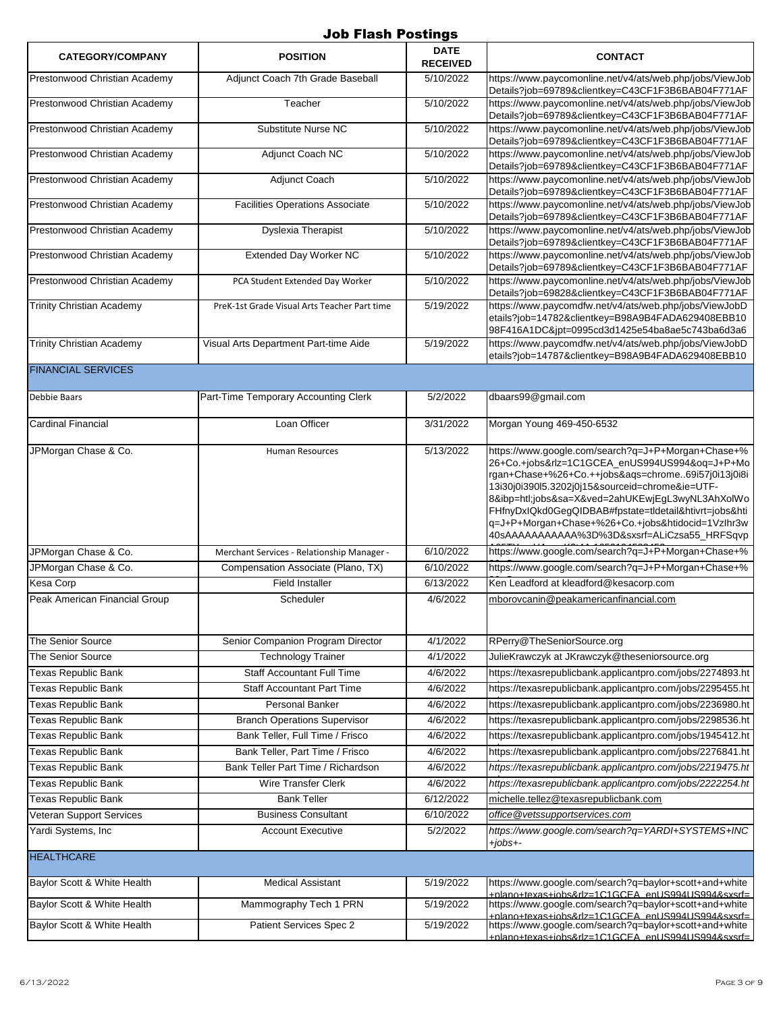| <b>CATEGORY/COMPANY</b>          | <b>POSITION</b>                              | <b>DATE</b><br><b>RECEIVED</b> | <b>CONTACT</b>                                                                                                                                                                                                                                                                                                                                                                                                                   |
|----------------------------------|----------------------------------------------|--------------------------------|----------------------------------------------------------------------------------------------------------------------------------------------------------------------------------------------------------------------------------------------------------------------------------------------------------------------------------------------------------------------------------------------------------------------------------|
| Prestonwood Christian Academy    | Adjunct Coach 7th Grade Baseball             | 5/10/2022                      | https://www.paycomonline.net/v4/ats/web.php/jobs/ViewJob<br>Details?job=69789&clientkey=C43CF1F3B6BAB04F771AF                                                                                                                                                                                                                                                                                                                    |
| Prestonwood Christian Academy    | Teacher                                      | 5/10/2022                      | https://www.paycomonline.net/v4/ats/web.php/jobs/ViewJob<br>Details?job=69789&clientkey=C43CF1F3B6BAB04F771AF                                                                                                                                                                                                                                                                                                                    |
| Prestonwood Christian Academy    | Substitute Nurse NC                          | 5/10/2022                      | https://www.paycomonline.net/v4/ats/web.php/jobs/ViewJob<br>Details?job=69789&clientkey=C43CF1F3B6BAB04F771AF                                                                                                                                                                                                                                                                                                                    |
| Prestonwood Christian Academy    | Adjunct Coach NC                             | 5/10/2022                      | https://www.paycomonline.net/v4/ats/web.php/jobs/ViewJob<br>Details?job=69789&clientkey=C43CF1F3B6BAB04F771AF                                                                                                                                                                                                                                                                                                                    |
| Prestonwood Christian Academy    | Adjunct Coach                                | 5/10/2022                      | https://www.paycomonline.net/v4/ats/web.php/jobs/ViewJob<br>Details?job=69789&clientkey=C43CF1F3B6BAB04F771AF                                                                                                                                                                                                                                                                                                                    |
| Prestonwood Christian Academy    | <b>Facilities Operations Associate</b>       | 5/10/2022                      | https://www.paycomonline.net/v4/ats/web.php/jobs/ViewJob<br>Details?job=69789&clientkey=C43CF1F3B6BAB04F771AF                                                                                                                                                                                                                                                                                                                    |
| Prestonwood Christian Academy    | <b>Dyslexia Therapist</b>                    | 5/10/2022                      | https://www.paycomonline.net/v4/ats/web.php/jobs/ViewJob<br>Details?job=69789&clientkey=C43CF1F3B6BAB04F771AF                                                                                                                                                                                                                                                                                                                    |
| Prestonwood Christian Academy    | <b>Extended Day Worker NC</b>                | 5/10/2022                      | https://www.paycomonline.net/v4/ats/web.php/jobs/ViewJob<br>Details?job=69789&clientkey=C43CF1F3B6BAB04F771AF                                                                                                                                                                                                                                                                                                                    |
| Prestonwood Christian Academy    | PCA Student Extended Day Worker              | 5/10/2022                      | https://www.paycomonline.net/v4/ats/web.php/jobs/ViewJob<br>Details?job=69828&clientkey=C43CF1F3B6BAB04F771AF                                                                                                                                                                                                                                                                                                                    |
| <b>Trinity Christian Academy</b> | PreK-1st Grade Visual Arts Teacher Part time | 5/19/2022                      | https://www.paycomdfw.net/v4/ats/web.php/jobs/ViewJobD<br>etails?job=14782&clientkey=B98A9B4FADA629408EBB10<br>98F416A1DC&jpt=0995cd3d1425e54ba8ae5c743ba6d3a6                                                                                                                                                                                                                                                                   |
| <b>Trinity Christian Academy</b> | Visual Arts Department Part-time Aide        | 5/19/2022                      | https://www.paycomdfw.net/v4/ats/web.php/jobs/ViewJobD<br>etails?job=14787&clientkey=B98A9B4FADA629408EBB10                                                                                                                                                                                                                                                                                                                      |
| <b>FINANCIAL SERVICES</b>        |                                              |                                |                                                                                                                                                                                                                                                                                                                                                                                                                                  |
| Debbie Baars                     | Part-Time Temporary Accounting Clerk         | 5/2/2022                       | dbaars99@gmail.com                                                                                                                                                                                                                                                                                                                                                                                                               |
| <b>Cardinal Financial</b>        | Loan Officer                                 | 3/31/2022                      | Morgan Young 469-450-6532                                                                                                                                                                                                                                                                                                                                                                                                        |
| JPMorgan Chase & Co.             | <b>Human Resources</b>                       | 5/13/2022                      | https://www.google.com/search?q=J+P+Morgan+Chase+%<br>26+Co.+jobs&rlz=1C1GCEA_enUS994US994&oq=J+P+Mo<br>rgan+Chase+%26+Co.++jobs&aqs=chrome69i57j0i13j0i8i<br>13i30j0i390l5.3202j0j15&sourceid=chrome&ie=UTF-<br>8&ibp=htl;jobs&sa=X&ved=2ahUKEwjEgL3wyNL3AhXolWo<br>FHfnyDxIQkd0GegQIDBAB#fpstate=tldetail&htivrt=jobs&hti<br>q=J+P+Morgan+Chase+%26+Co.+jobs&htidocid=1Vzlhr3w<br>40sAAAAAAAAAAA%3D%3D&sxsrf=ALiCzsa55_HRFSqvp |
| JPMorgan Chase & Co.             | Merchant Services - Relationship Manager -   | 6/10/2022                      | https://www.google.com/search?q=J+P+Morgan+Chase+%                                                                                                                                                                                                                                                                                                                                                                               |
| JPMorgan Chase & Co.             | Compensation Associate (Plano, TX)           | 6/10/2022                      | https://www.google.com/search?q=J+P+Morgan+Chase+%                                                                                                                                                                                                                                                                                                                                                                               |
| Kesa Corp                        | <b>Field Installer</b>                       | 6/13/2022                      | Ken Leadford at kleadford@kesacorp.com                                                                                                                                                                                                                                                                                                                                                                                           |
| Peak American Financial Group    | Scheduler                                    | 4/6/2022                       | mborovcanin@peakamericanfinancial.com                                                                                                                                                                                                                                                                                                                                                                                            |
| The Senior Source                | Senior Companion Program Director            | 4/1/2022                       | RPerry@TheSeniorSource.org                                                                                                                                                                                                                                                                                                                                                                                                       |
| The Senior Source                | <b>Technology Trainer</b>                    | 4/1/2022                       | JulieKrawczyk at JKrawczyk@theseniorsource.org                                                                                                                                                                                                                                                                                                                                                                                   |
| <b>Texas Republic Bank</b>       | <b>Staff Accountant Full Time</b>            | 4/6/2022                       | https://texasrepublicbank.applicantpro.com/jobs/2274893.ht                                                                                                                                                                                                                                                                                                                                                                       |
| <b>Texas Republic Bank</b>       | <b>Staff Accountant Part Time</b>            | 4/6/2022                       | https://texasrepublicbank.applicantpro.com/jobs/2295455.ht                                                                                                                                                                                                                                                                                                                                                                       |
| <b>Texas Republic Bank</b>       | Personal Banker                              | 4/6/2022                       | https://texasrepublicbank.applicantpro.com/jobs/2236980.ht                                                                                                                                                                                                                                                                                                                                                                       |
| <b>Texas Republic Bank</b>       | <b>Branch Operations Supervisor</b>          | 4/6/2022                       | https://texasrepublicbank.applicantpro.com/jobs/2298536.ht                                                                                                                                                                                                                                                                                                                                                                       |
| <b>Texas Republic Bank</b>       | Bank Teller, Full Time / Frisco              | 4/6/2022                       | https://texasrepublicbank.applicantpro.com/jobs/1945412.ht                                                                                                                                                                                                                                                                                                                                                                       |
| <b>Texas Republic Bank</b>       | Bank Teller, Part Time / Frisco              | 4/6/2022                       | https://texasrepublicbank.applicantpro.com/jobs/2276841.ht                                                                                                                                                                                                                                                                                                                                                                       |
| <b>Texas Republic Bank</b>       | Bank Teller Part Time / Richardson           | 4/6/2022                       | https://texasrepublicbank.applicantpro.com/jobs/2219475.ht                                                                                                                                                                                                                                                                                                                                                                       |
| <b>Texas Republic Bank</b>       | <b>Wire Transfer Clerk</b>                   | 4/6/2022                       | https://texasrepublicbank.applicantpro.com/jobs/2222254.ht                                                                                                                                                                                                                                                                                                                                                                       |
| <b>Texas Republic Bank</b>       | <b>Bank Teller</b>                           | 6/12/2022                      | michelle.tellez@texasrepublicbank.com                                                                                                                                                                                                                                                                                                                                                                                            |
| Veteran Support Services         | <b>Business Consultant</b>                   | 6/10/2022                      | office@v <u>etssupportservices.com</u>                                                                                                                                                                                                                                                                                                                                                                                           |
| Yardi Systems, Inc               | <b>Account Executive</b>                     | 5/2/2022                       | https://www.google.com/search?q=YARDI+SYSTEMS+INC<br>$+jobs+ -$                                                                                                                                                                                                                                                                                                                                                                  |
| <b>HEALTHCARE</b>                |                                              |                                |                                                                                                                                                                                                                                                                                                                                                                                                                                  |
| Baylor Scott & White Health      | <b>Medical Assistant</b>                     | 5/19/2022                      | https://www.google.com/search?q=baylor+scott+and+white<br>+plano+texas+iobs&rlz=1C1GCFA_enLIS994LIS994&sxsrf=                                                                                                                                                                                                                                                                                                                    |
| Baylor Scott & White Health      | Mammography Tech 1 PRN                       | 5/19/2022                      | https://www.google.com/search?q=baylor+scott+and+white<br>+plano+texas+iobs&rlz=1C1GCFA_enUS994US994&sxsrf=                                                                                                                                                                                                                                                                                                                      |
| Baylor Scott & White Health      | Patient Services Spec 2                      | 5/19/2022                      | https://www.google.com/search?q=baylor+scott+and+white<br>nlano+texas+iobs&rlz=1C1GCEA_enLIS994LIS994&sxsrf=                                                                                                                                                                                                                                                                                                                     |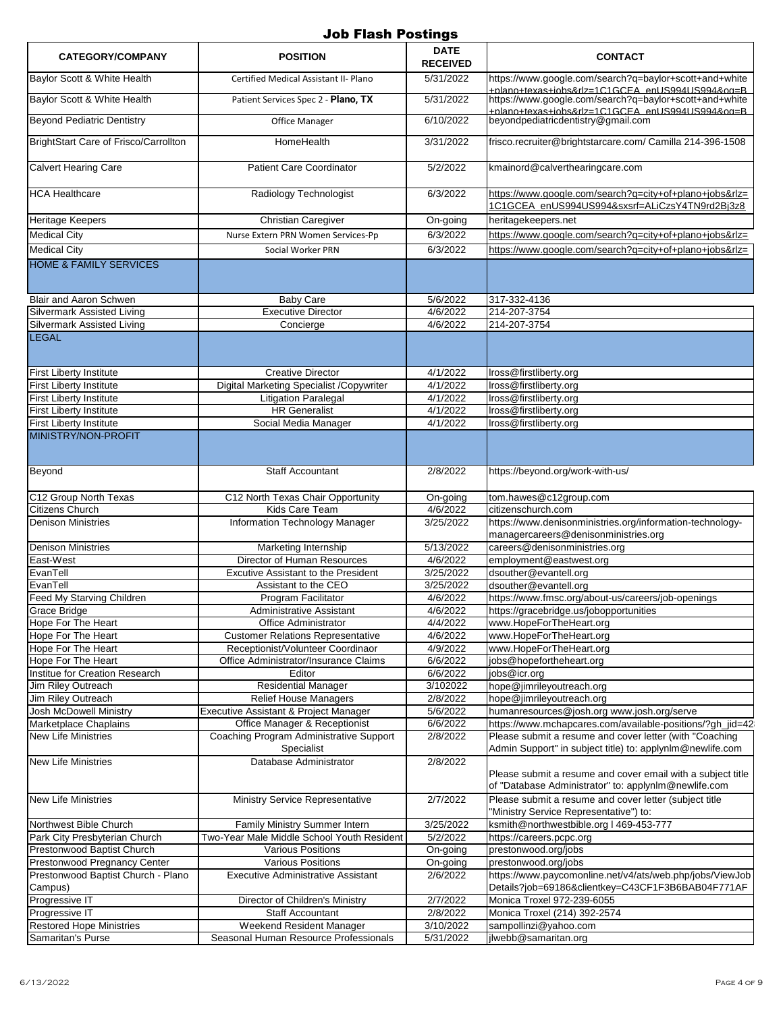| <b>CATEGORY/COMPANY</b>                                                       | <b>POSITION</b>                                                        | <b>DATE</b><br><b>RECEIVED</b> | <b>CONTACT</b>                                                                                                                        |
|-------------------------------------------------------------------------------|------------------------------------------------------------------------|--------------------------------|---------------------------------------------------------------------------------------------------------------------------------------|
| Baylor Scott & White Health                                                   | Certified Medical Assistant II- Plano                                  | 5/31/2022                      | https://www.google.com/search?g=baylor+scott+and+white<br>nlano+texas+iobs&rlz=1C1GCEA_enLIS994LIS994&og=B                            |
| Baylor Scott & White Health                                                   | Patient Services Spec 2 - Plano, TX                                    | 5/31/2022                      | https://www.google.com/search?q=baylor+scott+and+white<br>hlano+texas+iobs&rlz=1C1GCFA_enUS994US994&og=B                              |
| <b>Beyond Pediatric Dentistry</b>                                             | Office Manager                                                         | 6/10/2022                      | beyondpediatricdentistry@gmail.com                                                                                                    |
| BrightStart Care of Frisco/Carrollton                                         | HomeHealth                                                             | 3/31/2022                      | frisco.recruiter@brightstarcare.com/ Camilla 214-396-1508                                                                             |
| <b>Calvert Hearing Care</b>                                                   | <b>Patient Care Coordinator</b>                                        | 5/2/2022                       | kmainord@calverthearingcare.com                                                                                                       |
| <b>HCA Healthcare</b>                                                         | Radiology Technologist                                                 | 6/3/2022                       | https://www.google.com/search?g=city+of+plano+jobs&rlz=<br>1C1GCEA_enUS994US994&sxsrf=ALiCzsY4TN9rd2Bj3z8                             |
| <b>Heritage Keepers</b>                                                       | Christian Caregiver                                                    | On-going                       | heritagekeepers.net                                                                                                                   |
| <b>Medical City</b>                                                           | Nurse Extern PRN Women Services-Pp                                     | 6/3/2022                       | https://www.google.com/search?g=city+of+plano+jobs&rlz=                                                                               |
| <b>Medical City</b>                                                           | Social Worker PRN                                                      | 6/3/2022                       | https://www.google.com/search?q=city+of+plano+jobs&rlz=                                                                               |
| <b>HOME &amp; FAMILY SERVICES</b>                                             |                                                                        |                                |                                                                                                                                       |
| Blair and Aaron Schwen                                                        | <b>Baby Care</b>                                                       | 5/6/2022                       | 317-332-4136                                                                                                                          |
| <b>Silvermark Assisted Living</b>                                             | <b>Executive Director</b>                                              | 4/6/2022                       | 214-207-3754                                                                                                                          |
| Silvermark Assisted Living                                                    | Concierge                                                              | 4/6/2022                       | 214-207-3754                                                                                                                          |
| <b>LEGAL</b>                                                                  |                                                                        |                                |                                                                                                                                       |
| <b>First Liberty Institute</b>                                                | <b>Creative Director</b>                                               | 4/1/2022                       | Iross@firstliberty.org                                                                                                                |
| <b>First Liberty Institute</b>                                                | Digital Marketing Specialist /Copywriter                               | 4/1/2022                       | Iross@firstliberty.org                                                                                                                |
| <b>First Liberty Institute</b>                                                | <b>Litigation Paralegal</b>                                            | 4/1/2022                       | Iross@firstliberty.org                                                                                                                |
| <b>First Liberty Institute</b>                                                | <b>HR</b> Generalist                                                   | 4/1/2022                       | Iross@firstliberty.org                                                                                                                |
| <b>First Liberty Institute</b>                                                | Social Media Manager                                                   | 4/1/2022                       | Iross@firstliberty.org                                                                                                                |
| MINISTRY/NON-PROFIT                                                           |                                                                        |                                |                                                                                                                                       |
| Beyond                                                                        | <b>Staff Accountant</b>                                                | 2/8/2022                       | https://beyond.org/work-with-us/                                                                                                      |
| C12 Group North Texas                                                         | C12 North Texas Chair Opportunity                                      | On-going                       | tom.hawes@c12group.com                                                                                                                |
| Citizens Church                                                               | Kids Care Team                                                         | 4/6/2022                       | citizenschurch.com                                                                                                                    |
| <b>Denison Ministries</b>                                                     | Information Technology Manager                                         | 3/25/2022                      | https://www.denisonministries.org/information-technology-<br>managercareers@denisonministries.org                                     |
| <b>Denison Ministries</b>                                                     | Marketing Internship                                                   | 5/13/2022                      | careers@denisonministries.org                                                                                                         |
| East-West                                                                     | Director of Human Resources                                            | 4/6/2022                       | employment@eastwest.org                                                                                                               |
| EvanTell                                                                      | Excutive Assistant to the President                                    | 3/25/2022                      | dsouther@evantell.org                                                                                                                 |
| EvanTell                                                                      | Assistant to the CEO                                                   | 3/25/2022                      | dsouther@evantell.org                                                                                                                 |
| Feed My Starving Children                                                     | Program Facilitator                                                    | 4/6/2022                       | https://www.fmsc.org/about-us/careers/job-openings                                                                                    |
| Grace Bridge                                                                  | Administrative Assistant                                               | 4/6/2022                       | https://gracebridge.us/jobopportunities                                                                                               |
| Hope For The Heart                                                            | Office Administrator                                                   | 4/4/2022                       | www.HopeForTheHeart.org                                                                                                               |
| Hope For The Heart                                                            | <b>Customer Relations Representative</b>                               | 4/6/2022                       | www.HopeForTheHeart.org                                                                                                               |
| Hope For The Heart                                                            | Receptionist/Volunteer Coordinaor                                      | 4/9/2022                       | www.HopeForTheHeart.org                                                                                                               |
| Hope For The Heart                                                            | Office Administrator/Insurance Claims                                  | 6/6/2022                       | jobs@hopefortheheart.org                                                                                                              |
| Institue for Creation Research                                                | Editor                                                                 | 6/6/2022                       | jobs@icr.org                                                                                                                          |
| Jim Riley Outreach                                                            | <b>Residential Manager</b>                                             | 3/102022                       | hope@jimrileyoutreach.org                                                                                                             |
| Jim Riley Outreach                                                            | <b>Relief House Managers</b>                                           | 2/8/2022                       | hope@jimrileyoutreach.org                                                                                                             |
| Josh McDowell Ministry<br>Marketplace Chaplains                               | Executive Assistant & Project Manager<br>Office Manager & Receptionist | 5/6/2022<br>6/6/2022           | humanresources@josh.org www.josh.org/serve<br>https://www.mchapcares.com/available-positions/?gh_jid=42                               |
| <b>New Life Ministries</b>                                                    | Coaching Program Administrative Support<br>Specialist                  | 2/8/2022                       | Please submit a resume and cover letter (with "Coaching<br>Admin Support" in subject title) to: applynlm@newlife.com                  |
| <b>New Life Ministries</b>                                                    | Database Administrator                                                 | 2/8/2022                       | Please submit a resume and cover email with a subject title                                                                           |
|                                                                               |                                                                        |                                | of "Database Administrator" to: applynlm@newlife.com                                                                                  |
| <b>New Life Ministries</b>                                                    | <b>Ministry Service Representative</b>                                 | 2/7/2022                       | Please submit a resume and cover letter (subject title<br>'Ministry Service Representative") to:                                      |
| Northwest Bible Church                                                        | Family Ministry Summer Intern                                          | 3/25/2022                      | ksmith@northwestbible.org   469-453-777                                                                                               |
| Park City Presbyterian Church                                                 | Two-Year Male Middle School Youth Resident                             | 5/2/2022                       | https://careers.pcpc.org                                                                                                              |
| Prestonwood Baptist Church                                                    | <b>Various Positions</b>                                               | On-going                       | prestonwood.org/jobs                                                                                                                  |
| Prestonwood Pregnancy Center<br>Prestonwood Baptist Church - Plano<br>Campus) | <b>Various Positions</b><br>Executive Administrative Assistant         | On-going<br>2/6/2022           | prestonwood.org/jobs<br>https://www.paycomonline.net/v4/ats/web.php/jobs/ViewJob<br>Details?job=69186&clientkey=C43CF1F3B6BAB04F771AF |
| Progressive IT                                                                | Director of Children's Ministry                                        | 2/7/2022                       | Monica Troxel 972-239-6055                                                                                                            |
| Progressive IT                                                                | Staff Accountant                                                       | 2/8/2022                       | Monica Troxel (214) 392-2574                                                                                                          |
| <b>Restored Hope Ministries</b>                                               | Weekend Resident Manager                                               | 3/10/2022                      | sampollinzi@yahoo.com                                                                                                                 |
| Samaritan's Purse                                                             | Seasonal Human Resource Professionals                                  | 5/31/2022                      | jlwebb@samaritan.org                                                                                                                  |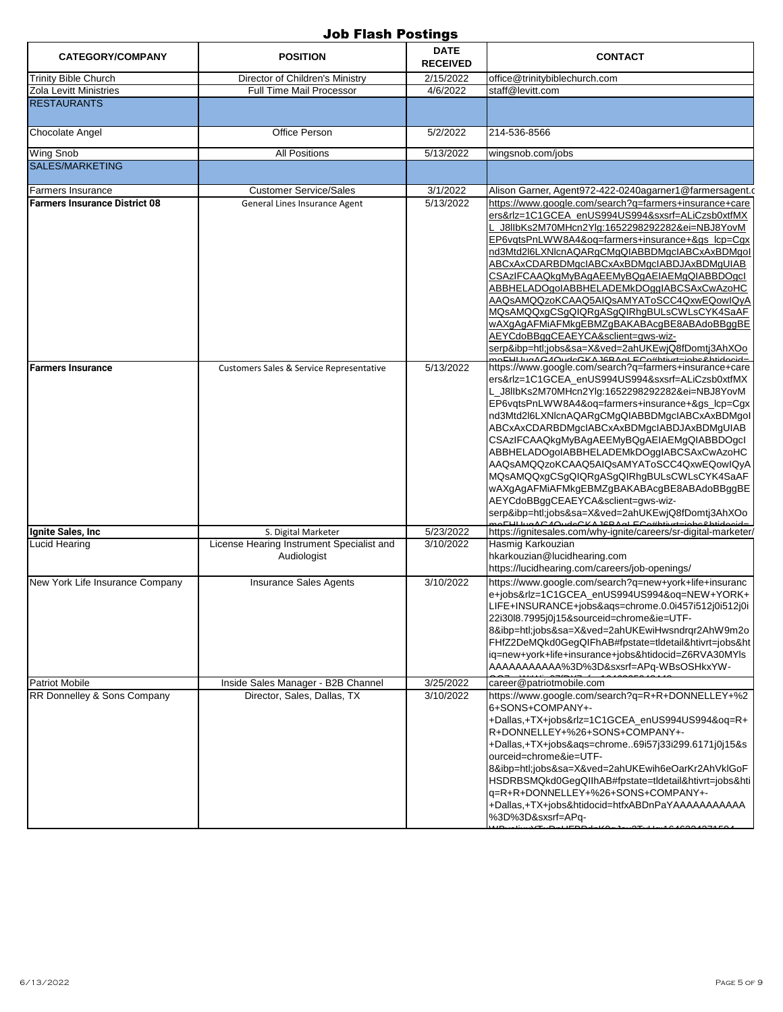| <b>CATEGORY/COMPANY</b>              | <b>POSITION</b>                                          | <b>DATE</b><br><b>RECEIVED</b> | <b>CONTACT</b>                                                                                                                                                                                                                                                                                                                                                                                                                                                                                                                                                                                                                                                                                                           |
|--------------------------------------|----------------------------------------------------------|--------------------------------|--------------------------------------------------------------------------------------------------------------------------------------------------------------------------------------------------------------------------------------------------------------------------------------------------------------------------------------------------------------------------------------------------------------------------------------------------------------------------------------------------------------------------------------------------------------------------------------------------------------------------------------------------------------------------------------------------------------------------|
| <b>Trinity Bible Church</b>          | Director of Children's Ministry                          | 2/15/2022                      | office@trinitybiblechurch.com                                                                                                                                                                                                                                                                                                                                                                                                                                                                                                                                                                                                                                                                                            |
| Zola Levitt Ministries               | <b>Full Time Mail Processor</b>                          | 4/6/2022                       | staff@levitt.com                                                                                                                                                                                                                                                                                                                                                                                                                                                                                                                                                                                                                                                                                                         |
| <b>RESTAURANTS</b>                   |                                                          |                                |                                                                                                                                                                                                                                                                                                                                                                                                                                                                                                                                                                                                                                                                                                                          |
| <b>Chocolate Angel</b>               | Office Person                                            | 5/2/2022                       | 214-536-8566                                                                                                                                                                                                                                                                                                                                                                                                                                                                                                                                                                                                                                                                                                             |
| <b>Wing Snob</b>                     | <b>All Positions</b>                                     | 5/13/2022                      | wingsnob.com/jobs                                                                                                                                                                                                                                                                                                                                                                                                                                                                                                                                                                                                                                                                                                        |
| <b>SALES/MARKETING</b>               |                                                          |                                |                                                                                                                                                                                                                                                                                                                                                                                                                                                                                                                                                                                                                                                                                                                          |
| <b>Farmers Insurance</b>             | <b>Customer Service/Sales</b>                            | 3/1/2022                       | Alison Garner, Agent972-422-0240agarner1@farmersagent.c                                                                                                                                                                                                                                                                                                                                                                                                                                                                                                                                                                                                                                                                  |
| <b>Farmers Insurance District 08</b> | General Lines Insurance Agent                            | 5/13/2022                      | https://www.google.com/search?q=farmers+insurance+care<br>ers&rlz=1C1GCEA_enUS994US994&sxsrf=ALiCzsb0xtfMX<br>_J8llbKs2M70MHcn2Ylg:1652298292282&ei=NBJ8YovM<br>EP6vqtsPnLWW8A4&oq=farmers+insurance+&gs_lcp=Cgx<br>nd3Mtd2l6LXNlcnAQARgCMgQIABBDMgcIABCxAxBDMgoI<br>ABCxAxCDARBDMgcIABCxAxBDMgcIABDJAxBDMgUIAB<br>CSAzIFCAAQkgMyBAgAEEMyBQgAEIAEMgQIABBDOgcl<br>ABBHELADOgoIABBHELADEMkDOggIABCSAxCwAzoHC<br>AAQsAMQQzoKCAAQ5AIQsAMYAToSCC4QxwEQowIQyA<br>MQsAMQQxgCSgQIQRgASgQIRhgBULsCWLsCYK4SaAF<br>wAXgAgAFMiAFMkgEBMZgBAKABAcgBE8ABAdoBBggBE<br>AEYCdoBBggCEAEYCA&sclient=gws-wiz-<br>serp&ibp=htl;jobs&sa=X&ved=2ahUKEwjQ8fDomtj3AhXOo                                                                            |
| <b>Farmers Insurance</b>             | <b>Customers Sales &amp; Service Representative</b>      | 5/13/2022                      | OCHILLUMACAOUROCKA IGRANIECO#btivrt-johollatidooid-<br>https://www.google.com/search?g=farmers+insurance+care<br>ers&rlz=1C1GCEA enUS994US994&sxsrf=ALiCzsb0xtfMX<br>L J8IIbKs2M70MHcn2Ylg:1652298292282&ei=NBJ8YovM<br>EP6vqtsPnLWW8A4&oq=farmers+insurance+&gs_lcp=Cgx<br>nd3Mtd2l6LXNlcnAQARgCMgQIABBDMgcIABCxAxBDMgoI<br>ABCxAxCDARBDMgcIABCxAxBDMgcIABDJAxBDMgUIAB<br>CSAzIFCAAQkgMyBAgAEEMyBQgAEIAEMgQIABBDOgcl<br>ABBHELADOgoIABBHELADEMkDOggIABCSAxCwAzoHC<br>AAQsAMQQzoKCAAQ5AIQsAMYAToSCC4QxwEQowIQyA<br>MQsAMQQxgCSgQIQRgASgQIRhgBULsCWLsCYK4SaAF<br>wAXgAgAFMiAFMkgEBMZgBAKABAcgBE8ABAdoBBggBE<br>AEYCdoBBggCEAEYCA&sclient=gws-wiz-<br>serp&ibp=htl;jobs&sa=X&ved=2ahUKEwjQ8fDomtj3AhXOo<br>0.4201110012150 |
| Ignite Sales, Inc                    | S. Digital Marketer                                      | 5/23/2022                      | https://ignitesales.com/why-ignite/careers/sr-digital-marketer/                                                                                                                                                                                                                                                                                                                                                                                                                                                                                                                                                                                                                                                          |
| Lucid Hearing                        | License Hearing Instrument Specialist and<br>Audiologist | 3/10/2022                      | Hasmig Karkouzian<br>hkarkouzian@lucidhearing.com<br>https://lucidhearing.com/careers/job-openings/                                                                                                                                                                                                                                                                                                                                                                                                                                                                                                                                                                                                                      |
| New York Life Insurance Company      | <b>Insurance Sales Agents</b>                            | 3/10/2022                      | https://www.google.com/search?q=new+york+life+insuranc<br>e+jobs&rlz=1C1GCEA_enUS994US994&oq=NEW+YORK+<br>LIFE+INSURANCE+jobs&aqs=chrome.0.0i457i512j0i512j0i<br>22i30l8.7995j0j15&sourceid=chrome&ie=UTF-<br>8&ibp=htl;jobs&sa=X&ved=2ahUKEwiHwsndrqr2AhW9m2o<br>FHfZ2DeMQkd0GegQIFhAB#fpstate=tldetail&htivrt=jobs&ht<br>iq=new+york+life+insurance+jobs&htidocid=Z6RVA30MYls<br>AAAAAAAAAAA%3D%3D&sxsrf=APq-WBsOSHkxYW-                                                                                                                                                                                                                                                                                               |
| <b>Patriot Mobile</b>                | Inside Sales Manager - B2B Channel                       | 3/25/2022                      | career@patriotmobile.com                                                                                                                                                                                                                                                                                                                                                                                                                                                                                                                                                                                                                                                                                                 |
| RR Donnelley & Sons Company          | Director, Sales, Dallas, TX                              | 3/10/2022                      | https://www.google.com/search?q=R+R+DONNELLEY+%2<br>6+SONS+COMPANY+-<br>+Dallas,+TX+jobs&rlz=1C1GCEA enUS994US994&oq=R+<br>R+DONNELLEY+%26+SONS+COMPANY+-<br>+Dallas,+TX+jobs&aqs=chrome69i57j33i299.6171j0j15&s<br>ourceid=chrome&ie=UTF-<br>8&ibp=htl;jobs&sa=X&ved=2ahUKEwih6eOarKr2AhVklGoF<br>HSDRBSMQkd0GegQIIhAB#fpstate=tldetail&htivrt=jobs&hti<br>q=R+R+DONNELLEY+%26+SONS+COMPANY+-<br>+Dallas,+TX+jobs&htidocid=htfxABDnPaYAAAAAAAAAAA<br>%3D%3D&sxsrf=APq-                                                                                                                                                                                                                                                  |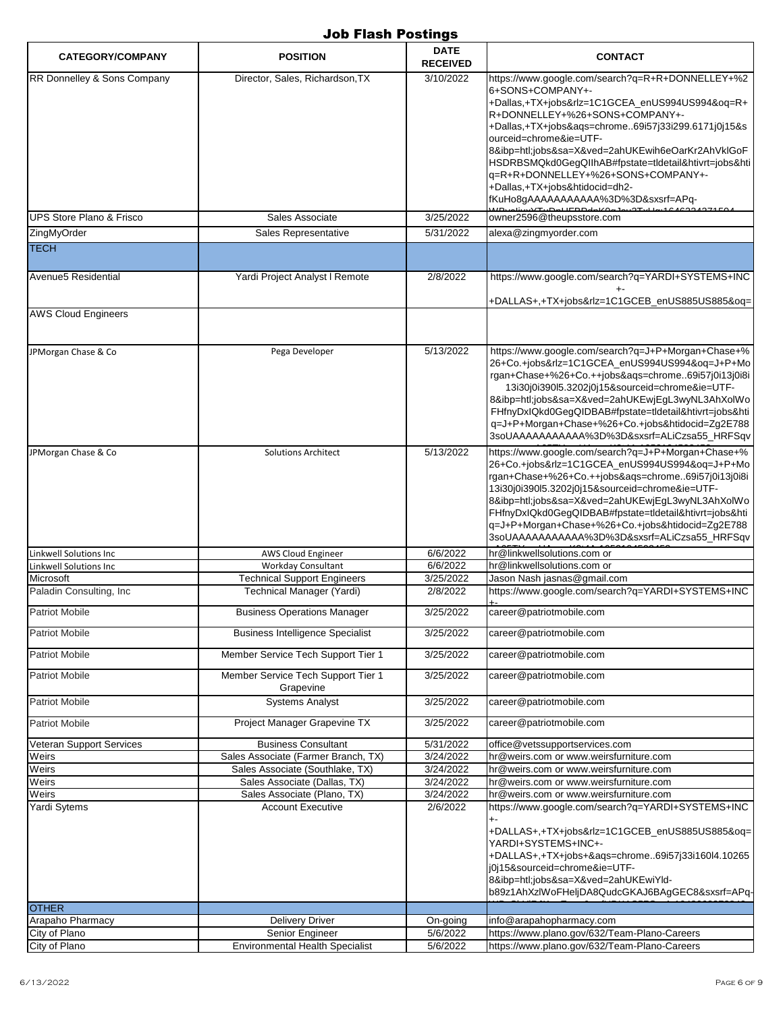| <b>CATEGORY/COMPANY</b>                   | <b>POSITION</b>                                                 | <b>DATE</b><br><b>RECEIVED</b> | <b>CONTACT</b>                                                                                                                                                                                                                                                                                                                                                                                                                                                          |
|-------------------------------------------|-----------------------------------------------------------------|--------------------------------|-------------------------------------------------------------------------------------------------------------------------------------------------------------------------------------------------------------------------------------------------------------------------------------------------------------------------------------------------------------------------------------------------------------------------------------------------------------------------|
| RR Donnelley & Sons Company               | Director, Sales, Richardson, TX                                 | 3/10/2022                      | https://www.google.com/search?q=R+R+DONNELLEY+%2<br>6+SONS+COMPANY+-<br>+Dallas,+TX+jobs&rlz=1C1GCEA_enUS994US994&oq=R+<br>R+DONNELLEY+%26+SONS+COMPANY+-<br>+Dallas,+TX+jobs&ags=chrome69i57j33i299.6171j0j15&s<br>ourceid=chrome&ie=UTF-<br>8&ibp=htl;jobs&sa=X&ved=2ahUKEwih6eOarKr2AhVklGoF<br>HSDRBSMQkd0GegQIIhAB#fpstate=tldetail&htivrt=jobs&hti<br>q=R+R+DONNELLEY+%26+SONS+COMPANY+-<br>+Dallas,+TX+jobs&htidocid=dh2-<br>fKuHo8gAAAAAAAAAAA%3D%3D&sxsrf=APq- |
| <b>UPS Store Plano &amp; Frisco</b>       | Sales Associate                                                 | 3/25/2022                      | owner2596@theupsstore.com                                                                                                                                                                                                                                                                                                                                                                                                                                               |
| ZingMyOrder                               | Sales Representative                                            | 5/31/2022                      | alexa@zingmyorder.com                                                                                                                                                                                                                                                                                                                                                                                                                                                   |
| <b>TECH</b>                               |                                                                 |                                |                                                                                                                                                                                                                                                                                                                                                                                                                                                                         |
| Avenue5 Residential                       | Yardi Project Analyst I Remote                                  | 2/8/2022                       | https://www.google.com/search?q=YARDI+SYSTEMS+INC<br>+DALLAS+,+TX+jobs&rlz=1C1GCEB_enUS885US885&oq=                                                                                                                                                                                                                                                                                                                                                                     |
| <b>AWS Cloud Engineers</b>                |                                                                 |                                |                                                                                                                                                                                                                                                                                                                                                                                                                                                                         |
| JPMorgan Chase & Co                       | Pega Developer                                                  | 5/13/2022                      | https://www.google.com/search?q=J+P+Morgan+Chase+%<br>26+Co.+jobs&rlz=1C1GCEA_enUS994US994&oq=J+P+Mo<br>rgan+Chase+%26+Co.++jobs&ags=chrome69i57j0i13j0i8i<br>13i30j0i390l5.3202j0j15&sourceid=chrome&ie=UTF-<br>8&ibp=htl;jobs&sa=X&ved=2ahUKEwjEqL3wyNL3AhXolWo<br>FHfnyDxIQkd0GegQIDBAB#fpstate=tldetail&htivrt=jobs&hti<br>q=J+P+Morgan+Chase+%26+Co.+jobs&htidocid=Zg2E788<br>3soUAAAAAAAAAAA%3D%3D&sxsrf=ALiCzsa55_HRFSqv                                         |
| JPMorgan Chase & Co                       | <b>Solutions Architect</b>                                      | 5/13/2022                      | https://www.google.com/search?q=J+P+Morgan+Chase+%<br>26+Co.+jobs&rlz=1C1GCEA_enUS994US994&oq=J+P+Mo<br>rgan+Chase+%26+Co.++jobs&aqs=chrome69i57j0i13j0i8i<br>13i30j0i390l5.3202j0j15&sourceid=chrome&ie=UTF-<br>8&ibp=htl;jobs&sa=X&ved=2ahUKEwjEgL3wyNL3AhXolWo<br>FHfnyDxIQkd0GegQIDBAB#fpstate=tldetail&htivrt=jobs&hti<br>q=J+P+Morgan+Chase+%26+Co.+jobs&htidocid=Zg2E788<br>3soUAAAAAAAAAAA%3D%3D&sxsrf=ALiCzsa55_HRFSqv                                         |
| Linkwell Solutions Inc                    | <b>AWS Cloud Engineer</b>                                       | 6/6/2022                       | hr@linkwellsolutions.com or                                                                                                                                                                                                                                                                                                                                                                                                                                             |
| Linkwell Solutions Inc                    | Workday Consultant                                              | 6/6/2022                       | hr@linkwellsolutions.com or                                                                                                                                                                                                                                                                                                                                                                                                                                             |
| Microsoft                                 | <b>Technical Support Engineers</b>                              | 3/25/2022                      | Jason Nash jasnas@gmail.com                                                                                                                                                                                                                                                                                                                                                                                                                                             |
| Paladin Consulting, Inc<br>Patriot Mobile | Technical Manager (Yardi)<br><b>Business Operations Manager</b> | 2/8/2022<br>3/25/2022          | https://www.google.com/search?g=YARDI+SYSTEMS+INC<br>career@patriotmobile.com                                                                                                                                                                                                                                                                                                                                                                                           |
| <b>Patriot Mobile</b>                     | <b>Business Intelligence Specialist</b>                         | 3/25/2022                      | career@patriotmobile.com                                                                                                                                                                                                                                                                                                                                                                                                                                                |
|                                           |                                                                 |                                |                                                                                                                                                                                                                                                                                                                                                                                                                                                                         |
| <b>Patriot Mobile</b>                     | Member Service Tech Support Tier 1                              | 3/25/2022                      | career@patriotmobile.com                                                                                                                                                                                                                                                                                                                                                                                                                                                |
| <b>Patriot Mobile</b>                     | Member Service Tech Support Tier 1<br>Grapevine                 | 3/25/2022                      | career@patriotmobile.com                                                                                                                                                                                                                                                                                                                                                                                                                                                |
| <b>Patriot Mobile</b>                     | <b>Systems Analyst</b>                                          | 3/25/2022                      | career@patriotmobile.com                                                                                                                                                                                                                                                                                                                                                                                                                                                |
| <b>Patriot Mobile</b>                     | Project Manager Grapevine TX                                    | 3/25/2022                      | career@patriotmobile.com                                                                                                                                                                                                                                                                                                                                                                                                                                                |
| Veteran Support Services                  | <b>Business Consultant</b>                                      | 5/31/2022                      | office@vetssupportservices.com                                                                                                                                                                                                                                                                                                                                                                                                                                          |
| Weirs                                     | Sales Associate (Farmer Branch, TX)                             | 3/24/2022                      | hr@weirs.com or www.weirsfurniture.com                                                                                                                                                                                                                                                                                                                                                                                                                                  |
| Weirs                                     | Sales Associate (Southlake, TX)                                 | 3/24/2022                      | hr@weirs.com or www.weirsfurniture.com                                                                                                                                                                                                                                                                                                                                                                                                                                  |
| Weirs<br>Weirs                            | Sales Associate (Dallas, TX)<br>Sales Associate (Plano, TX)     | 3/24/2022<br>3/24/2022         | hr@weirs.com or www.weirsfurniture.com<br>hr@weirs.com or www.weirsfurniture.com                                                                                                                                                                                                                                                                                                                                                                                        |
| Yardi Sytems                              | <b>Account Executive</b>                                        | 2/6/2022                       | https://www.google.com/search?q=YARDI+SYSTEMS+INC                                                                                                                                                                                                                                                                                                                                                                                                                       |
|                                           |                                                                 |                                | $+ -$<br>+DALLAS+,+TX+jobs&rlz=1C1GCEB_enUS885US885&oq=<br>YARDI+SYSTEMS+INC+-<br>+DALLAS+,+TX+jobs+&aqs=chrome69i57j33i160l4.10265<br>j0j15&sourceid=chrome&ie=UTF-<br>8&ibp=htl;jobs&sa=X&ved=2ahUKEwiYld-<br>b89z1AhXzlWoFHeljDA8QudcGKAJ6BAgGEC8&sxsrf=APq-                                                                                                                                                                                                         |
| <b>OTHER</b>                              |                                                                 |                                |                                                                                                                                                                                                                                                                                                                                                                                                                                                                         |
| Arapaho Pharmacy<br>City of Plano         | <b>Delivery Driver</b>                                          | On-going                       | info@arapahopharmacy.com                                                                                                                                                                                                                                                                                                                                                                                                                                                |
| City of Plano                             | Senior Engineer<br><b>Environmental Health Specialist</b>       | 5/6/2022<br>5/6/2022           | https://www.plano.gov/632/Team-Plano-Careers<br>https://www.plano.gov/632/Team-Plano-Careers                                                                                                                                                                                                                                                                                                                                                                            |
|                                           |                                                                 |                                |                                                                                                                                                                                                                                                                                                                                                                                                                                                                         |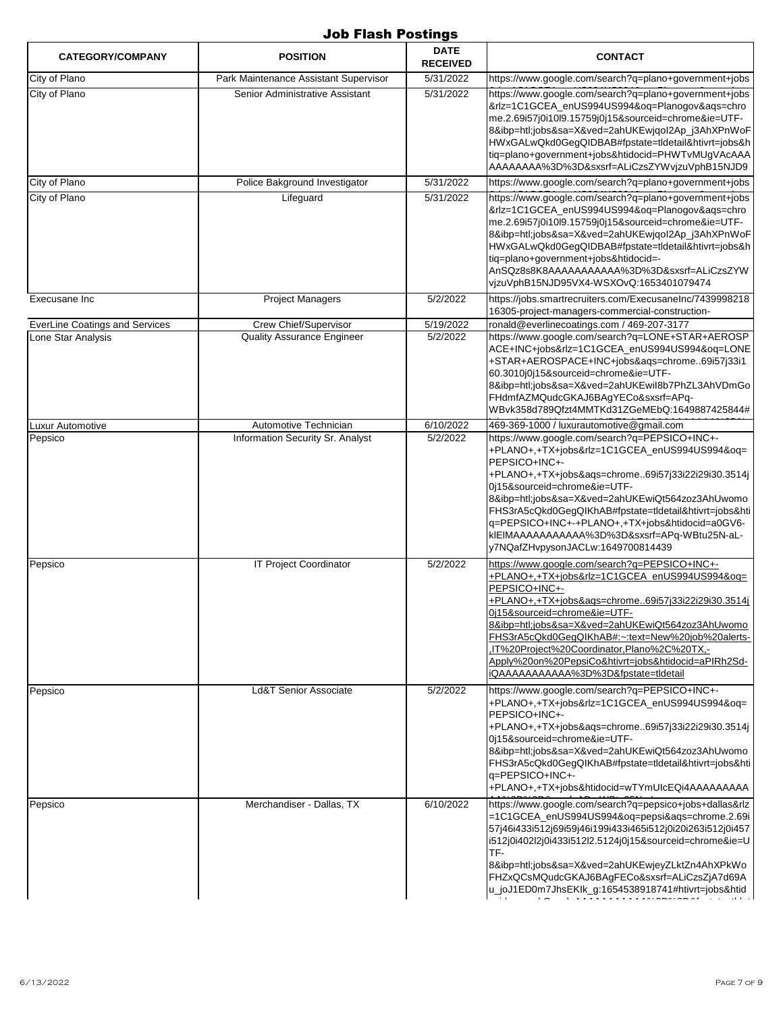| <b>CATEGORY/COMPANY</b>               | <b>POSITION</b>                       | <b>DATE</b><br><b>RECEIVED</b> | <b>CONTACT</b>                                                                                                                                                                                                                                                                                                                                                                                                                                               |
|---------------------------------------|---------------------------------------|--------------------------------|--------------------------------------------------------------------------------------------------------------------------------------------------------------------------------------------------------------------------------------------------------------------------------------------------------------------------------------------------------------------------------------------------------------------------------------------------------------|
| City of Plano                         | Park Maintenance Assistant Supervisor | 5/31/2022                      | https://www.google.com/search?q=plano+government+jobs                                                                                                                                                                                                                                                                                                                                                                                                        |
| City of Plano                         | Senior Administrative Assistant       | 5/31/2022                      | https://www.google.com/search?q=plano+government+jobs<br>&rlz=1C1GCEA_enUS994US994&oq=Planogov&aqs=chro<br>me.2.69i57j0i10l9.15759j0j15&sourceid=chrome&ie=UTF-<br>8&ibp=htl;jobs&sa=X&ved=2ahUKEwjqol2Ap j3AhXPnWoF<br>HWxGALwQkd0GegQIDBAB#fpstate=tldetail&htivrt=jobs&h<br>tiq=plano+government+jobs&htidocid=PHWTvMUgVAcAAA<br>AAAAAAAA%3D%3D&sxsrf=ALiCzsZYWvjzuVphB15NJD9                                                                             |
| City of Plano                         | Police Bakground Investigator         | 5/31/2022                      | https://www.google.com/search?q=plano+government+jobs                                                                                                                                                                                                                                                                                                                                                                                                        |
| City of Plano                         | Lifeguard                             | 5/31/2022                      | https://www.google.com/search?q=plano+government+jobs<br>&rlz=1C1GCEA_enUS994US994&oq=Planogov&aqs=chro<br>me.2.69i57j0i10l9.15759j0j15&sourceid=chrome&ie=UTF-<br>8&ibp=htl;jobs&sa=X&ved=2ahUKEwjqol2Ap_j3AhXPnWoF<br>HWxGALwQkd0GegQIDBAB#fpstate=tldetail&htivrt=jobs&h<br>tiq=plano+government+jobs&htidocid=-<br>AnSQz8s8K8AAAAAAAAAAA%3D%3D&sxsrf=ALiCzsZYW<br>vjzuVphB15NJD95VX4-WSXOvQ:1653401079474                                                |
| Execusane Inc                         | <b>Project Managers</b>               | 5/2/2022                       | https://jobs.smartrecruiters.com/ExecusaneInc/7439998218<br>16305-project-managers-commercial-construction-                                                                                                                                                                                                                                                                                                                                                  |
| <b>EverLine Coatings and Services</b> | Crew Chief/Supervisor                 | 5/19/2022                      | ronald@everlinecoatings.com / 469-207-3177                                                                                                                                                                                                                                                                                                                                                                                                                   |
| Lone Star Analysis                    | <b>Quality Assurance Engineer</b>     | 5/2/2022                       | https://www.google.com/search?q=LONE+STAR+AEROSP<br>ACE+INC+jobs&rlz=1C1GCEA_enUS994US994&oq=LONE<br>+STAR+AEROSPACE+INC+jobs&aqs=chrome69i57j33i1<br>60.3010j0j15&sourceid=chrome&ie=UTF-<br>8&ibp=htl;jobs&sa=X&ved=2ahUKEwiI8b7PhZL3AhVDmGo<br>FHdmfAZMQudcGKAJ6BAgYECo&sxsrf=APq-<br>WBvk358d789Qfzt4MMTKd31ZGeMEbQ:1649887425844#                                                                                                                       |
| Luxur Automotive                      | Automotive Technician                 | 6/10/2022                      | 469-369-1000 / luxurautomotive@gmail.com                                                                                                                                                                                                                                                                                                                                                                                                                     |
| Pepsico                               | Information Security Sr. Analyst      | 5/2/2022                       | https://www.google.com/search?q=PEPSICO+INC+-<br>+PLANO+,+TX+jobs&rlz=1C1GCEA_enUS994US994&oq=<br>PEPSICO+INC+-<br>+PLANO+,+TX+jobs&aqs=chrome69i57j33i22i29i30.3514j<br>0j15&sourceid=chrome&ie=UTF-<br>8&ibp=htl;jobs&sa=X&ved=2ahUKEwiQt564zoz3AhUwomo<br>FHS3rA5cQkd0GegQlKhAB#fpstate=tldetail&htivrt=jobs&hti<br>q=PEPSICO+INC+-+PLANO+,+TX+jobs&htidocid=a0GV6-<br>klEIMAAAAAAAAAAA%3D%3D&sxsrf=APq-WBtu25N-aL-<br>y7NQafZHvpysonJACLw:1649700814439  |
| Pepsico                               | <b>IT Project Coordinator</b>         | 5/2/2022                       | https://www.google.com/search?g=PEPSICO+INC+-<br>+PLANO+,+TX+jobs&rlz=1C1GCEA enUS994US994&oq=<br>PEPSICO+INC+-<br>+PLANO+,+TX+jobs&ags=chrome69i57j33i22i29i30.3514j<br>0j15&sourceid=chrome&ie=UTF-<br>8&ibp=htl;jobs&sa=X&ved=2ahUKEwiQt564zoz3AhUwomo<br>FHS3rA5cQkd0GegQlKhAB#:~:text=New%20job%20alerts-<br>.IT%20Project%20Coordinator,Plano%2C%20TX,-<br>Apply%20on%20PepsiCo&htivrt=jobs&htidocid=aPIRh2Sd-<br>iQAAAAAAAAAAA%3D%3D&fpstate=tldetail |
| Pepsico                               | <b>Ld&amp;T Senior Associate</b>      | $\sqrt{5/2/2022}$              | https://www.google.com/search?q=PEPSICO+INC+-<br>+PLANO+,+TX+jobs&rlz=1C1GCEA_enUS994US994&oq=<br>PEPSICO+INC+-<br>+PLANO+,+TX+jobs&aqs=chrome69i57j33i22i29i30.3514j<br>0j15&sourceid=chrome&ie=UTF-<br>8&ibp=htl;jobs&sa=X&ved=2ahUKEwiQt564zoz3AhUwomo<br>FHS3rA5cQkd0GegQlKhAB#fpstate=tldetail&htivrt=jobs&hti<br>q=PEPSICO+INC+-<br>+PLANO+,+TX+jobs&htidocid=wTYmUIcEQi4AAAAAAAAA                                                                     |
| Pepsico                               | Merchandiser - Dallas, TX             | 6/10/2022                      | https://www.google.com/search?q=pepsico+jobs+dallas&rlz<br>=1C1GCEA_enUS994US994&oq=pepsi&aqs=chrome.2.69i<br>57j46i433i512j69i59j46i199i433i465i512j0i20i263i512j0i457<br>i512j0i402l2j0i433i512l2.5124j0j15&sourceid=chrome&ie=U<br>TF-<br>8&ibp=htl;jobs&sa=X&ved=2ahUKEwjeyZLktZn4AhXPkWo<br>FHZxQCsMQudcGKAJ6BAgFECo&sxsrf=ALiCzsZjA7d69A<br>u_joJ1ED0m7JhsEKIk_g:1654538918741#htivrt=jobs&htid                                                        |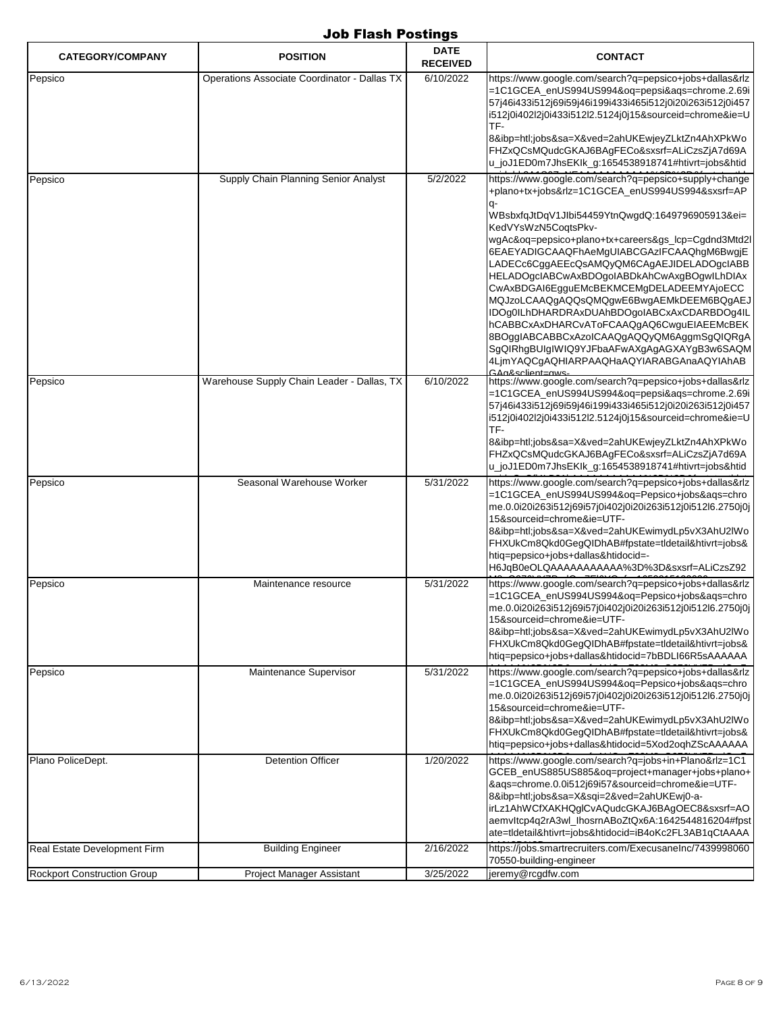| <b>CATEGORY/COMPANY</b>            | <b>POSITION</b>                              | <b>DATE</b><br><b>RECEIVED</b> | <b>CONTACT</b>                                                                                                                                                                                                                                                                                                                                                                                                                                                                                                                                                                                                                                                                                                                           |
|------------------------------------|----------------------------------------------|--------------------------------|------------------------------------------------------------------------------------------------------------------------------------------------------------------------------------------------------------------------------------------------------------------------------------------------------------------------------------------------------------------------------------------------------------------------------------------------------------------------------------------------------------------------------------------------------------------------------------------------------------------------------------------------------------------------------------------------------------------------------------------|
| Pepsico                            | Operations Associate Coordinator - Dallas TX | 6/10/2022                      | https://www.google.com/search?q=pepsico+jobs+dallas&rlz<br>=1C1GCEA_enUS994US994&oq=pepsi&aqs=chrome.2.69i<br>57j46i433i512j69i59j46i199i433i465i512j0i20i263i512j0i457<br>i512j0i402l2j0i433i512l2.5124j0j15&sourceid=chrome&ie=U<br>TF-                                                                                                                                                                                                                                                                                                                                                                                                                                                                                                |
|                                    |                                              |                                | 8&ibp=htl;jobs&sa=X&ved=2ahUKEwjeyZLktZn4AhXPkWo<br>FHZxQCsMQudcGKAJ6BAgFECo&sxsrf=ALiCzsZjA7d69A<br>u_joJ1ED0m7JhsEKIk_g:1654538918741#htivrt=jobs&htid                                                                                                                                                                                                                                                                                                                                                                                                                                                                                                                                                                                 |
| Pepsico                            | Supply Chain Planning Senior Analyst         | 5/2/2022                       | https://www.google.com/search?q=pepsico+supply+change<br>+plano+tx+jobs&rlz=1C1GCEA_enUS994US994&sxsrf=AP<br>WBsbxfqJtDqV1Jlbi54459YtnQwgdQ:1649796905913&ei=<br>KedVYsWzN5CogtsPkv-<br>wgAc&oq=pepsico+plano+tx+careers&gs_lcp=Cgdnd3Mtd2l<br>6EAEYADIGCAAQFhAeMgUIABCGAzIFCAAQhgM6BwgjE<br>LADECc6CggAEEcQsAMQyQM6CAgAEJIDELADOgcIABB<br>HELADOgcIABCwAxBDOgoIABDkAhCwAxgBOgwILhDIAx<br>CwAxBDGAI6EgguEMcBEKMCEMgDELADEEMYAjoECC<br>MQJzoLCAAQgAQQsQMQgwE6BwgAEMkDEEM6BQgAEJ<br>IDOq0ILhDHARDRAxDUAhBDOqoIABCxAxCDARBDOq4IL<br>hCABBCxAxDHARCvAToFCAAQgAQ6CwguEIAEEMcBEK<br>8BOqqIABCABBCxAzoICAAQqAQQyQM6AqqmSqQIQRqA<br>SgQIRhgBUIgIWIQ9YJFbaAFwAXgAgAGXAYgB3w6SAQM<br>4LjmYAQCgAQHIARPAAQHaAQYIARABGAnaAQYIAhAB<br>GAn&sclient—nws- |
| Pepsico                            | Warehouse Supply Chain Leader - Dallas, TX   | 6/10/2022                      | https://www.google.com/search?q=pepsico+jobs+dallas&rlz<br>=1C1GCEA_enUS994US994&oq=pepsi&aqs=chrome.2.69i<br>57j46i433i512j69i59j46i199i433i465i512j0i20i263i512j0i457<br>i512j0i402l2j0i433i512l2.5124j0j15&sourceid=chrome&ie=U<br>TF-<br>8&ibp=htl;jobs&sa=X&ved=2ahUKEwjeyZLktZn4AhXPkWo<br>FHZxQCsMQudcGKAJ6BAgFECo&sxsrf=ALiCzsZjA7d69A<br>u_joJ1ED0m7JhsEKIk_g:1654538918741#htivrt=jobs&htid                                                                                                                                                                                                                                                                                                                                    |
| Pepsico                            | Seasonal Warehouse Worker                    | 5/31/2022                      | https://www.google.com/search?q=pepsico+jobs+dallas&rlz<br>=1C1GCEA_enUS994US994&oq=Pepsico+jobs&aqs=chro<br>me.0.0i20i263i512j69i57j0i402j0i20i263i512j0i512l6.2750j0j<br>15&sourceid=chrome&ie=UTF-<br>8&ibp=htl;jobs&sa=X&ved=2ahUKEwimydLp5vX3AhU2IWo<br>FHXUkCm8Qkd0GegQIDhAB#fpstate=tldetail&htivrt=jobs&<br>htig=pepsico+jobs+dallas&htidocid=-<br>H6JqB0eOLQAAAAAAAAAAA%3D%3D&sxsrf=ALiCzsZ92                                                                                                                                                                                                                                                                                                                                   |
| Pepsico                            | Maintenance resource                         | 5/31/2022                      | https://www.google.com/search?q=pepsico+jobs+dallas&rlz<br>=1C1GCEA enUS994US994&oq=Pepsico+jobs&aqs=chro<br>me.0.0i20i263i512j69i57j0i402j0i20i263i512j0i512l6.2750j0j<br>15&sourceid=chrome&ie=UTF-<br>8&ibp=htl;jobs&sa=X&ved=2ahUKEwimydLp5vX3AhU2lWo<br>FHXUkCm8Qkd0GegQIDhAB#fpstate=tldetail&htivrt=jobs&<br>htiq=pepsico+jobs+dallas&htidocid=7bBDLI66R5sAAAAAA                                                                                                                                                                                                                                                                                                                                                                  |
| Pepsico                            | Maintenance Supervisor                       | 5/31/2022                      | https://www.google.com/search?q=pepsico+jobs+dallas&rlz<br>=1C1GCEA_enUS994US994&oq=Pepsico+jobs&aqs=chro<br>me.0.0i20i263i512j69i57j0i402j0i20i263i512j0i512l6.2750j0j<br>15&sourceid=chrome&ie=UTF-<br>8&ibp=htl;jobs&sa=X&ved=2ahUKEwimydLp5vX3AhU2IWo<br>FHXUkCm8Qkd0GegQIDhAB#fpstate=tldetail&htivrt=jobs&<br>htiq=pepsico+jobs+dallas&htidocid=5Xod2oqhZScAAAAAA                                                                                                                                                                                                                                                                                                                                                                  |
| Plano PoliceDept.                  | <b>Detention Officer</b>                     | 1/20/2022                      | https://www.google.com/search?q=jobs+in+Plano&rlz=1C1<br>GCEB enUS885US885&oq=project+manager+jobs+plano+<br>&aqs=chrome.0.0i512j69i57&sourceid=chrome&ie=UTF-<br>8&ibp=htl;jobs&sa=X&sqi=2&ved=2ahUKEwj0-a-<br>irLz1AhWCfXAKHQglCvAQudcGKAJ6BAgOEC8&sxsrf=AO<br>aemvltcp4q2rA3wl_lhosrnABoZtQx6A:1642544816204#fpst<br>ate=tldetail&htivrt=jobs&htidocid=iB4oKc2FL3AB1qCtAAAA                                                                                                                                                                                                                                                                                                                                                           |
| Real Estate Development Firm       | <b>Building Engineer</b>                     | 2/16/2022                      | https://jobs.smartrecruiters.com/ExecusaneInc/7439998060<br>70550-building-engineer                                                                                                                                                                                                                                                                                                                                                                                                                                                                                                                                                                                                                                                      |
| <b>Rockport Construction Group</b> | Project Manager Assistant                    | 3/25/2022                      | jeremy@rcgdfw.com                                                                                                                                                                                                                                                                                                                                                                                                                                                                                                                                                                                                                                                                                                                        |